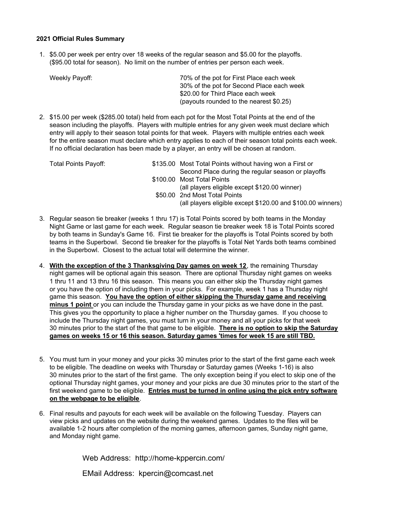### **2021 Official Rules Summary**

1. \$5.00 per week per entry over 18 weeks of the regular season and \$5.00 for the playoffs. (\$95.00 total for season). No limit on the number of entries per person each week.

| Weekly Payoff: | 70% of the pot for First Place each week  |
|----------------|-------------------------------------------|
|                | 30% of the pot for Second Place each week |
|                | \$20.00 for Third Place each week         |
|                | (payouts rounded to the nearest \$0.25)   |

2. \$15.00 per week (\$285.00 total) held from each pot for the Most Total Points at the end of the season including the playoffs. Players with multiple entries for any given week must declare which entry will apply to their season total points for that week. Players with multiple entries each week for the entire season must declare which entry applies to each of their season total points each week. If no official declaration has been made by a player, an entry will be chosen at random.

| <b>Total Points Payoff:</b> | \$135.00 Most Total Points without having won a First or    |
|-----------------------------|-------------------------------------------------------------|
|                             | Second Place during the regular season or playoffs          |
|                             | \$100.00 Most Total Points                                  |
|                             | (all players eligible except \$120.00 winner)               |
|                             | \$50.00 2nd Most Total Points                               |
|                             | (all players eligible except \$120.00 and \$100.00 winners) |
|                             |                                                             |

- 3. Regular season tie breaker (weeks 1 thru 17) is Total Points scored by both teams in the Monday Night Game or last game for each week. Regular season tie breaker week 18 is Total Points scored by both teams in Sunday's Game 16. First tie breaker for the playoffs is Total Points scored by both teams in the Superbowl. Second tie breaker for the playoffs is Total Net Yards both teams combined in the Superbowl. Closest to the actual total will determine the winner.
- 4. **With the exception of the 3 Thanksgiving Day games on week 12**, the remaining Thursday night games will be optional again this season. There are optional Thursday night games on weeks 1 thru 11 and 13 thru 16 this season. This means you can either skip the Thursday night games or you have the option of including them in your picks. For example, week 1 has a Thursday night game this season. **You have the option of either skipping the Thursday game and receiving minus 1 point** or you can include the Thursday game in your picks as we have done in the past. This gives you the opportunity to place a higher number on the Thursday games. If you choose to include the Thursday night games, you must turn in your money and all your picks for that week 30 minutes prior to the start of the that game to be eligible. **There is no option to skip the Saturday games on weeks 15 or 16 this season. Saturday games 'times for week 15 are still TBD.**
- 5. You must turn in your money and your picks 30 minutes prior to the start of the first game each week to be eligible. The deadline on weeks with Thursday or Saturday games (Weeks 1-16) is also 30 minutes prior to the start of the first game. The only exception being if you elect to skip one of the optional Thursday night games, your money and your picks are due 30 minutes prior to the start of the first weekend game to be eligible. **Entries must be turned in online using the pick entry software on the webpage to be eligible**.
- 6. Final results and payouts for each week will be available on the following Tuesday. Players can view picks and updates on the website during the weekend games. Updates to the files will be available 1-2 hours after completion of the morning games, afternoon games, Sunday night game, and Monday night game.

Web Address: http://home-kppercin.com/

EMail Address: kpercin@comcast.net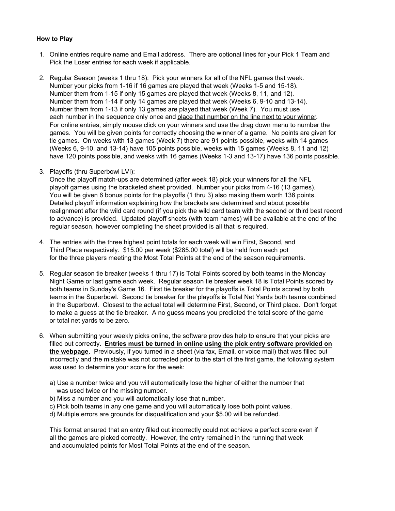### **How to Play**

- 1. Online entries require name and Email address. There are optional lines for your Pick 1 Team and Pick the Loser entries for each week if applicable.
- 2. Regular Season (weeks 1 thru 18): Pick your winners for all of the NFL games that week. Number your picks from 1-16 if 16 games are played that week (Weeks 1-5 and 15-18). Number them from 1-15 if only 15 games are played that week (Weeks 8, 11, and 12). Number them from 1-14 if only 14 games are played that week (Weeks 6, 9-10 and 13-14). Number them from 1-13 if only 13 games are played that week (Week 7). You must use each number in the sequence only once and place that number on the line next to your winner. For online entries, simply mouse click on your winners and use the drag down menu to number the games. You will be given points for correctly choosing the winner of a game. No points are given for tie games. On weeks with 13 games (Week 7) there are 91 points possible, weeks with 14 games (Weeks 6, 9-10, and 13-14) have 105 points possible, weeks with 15 games (Weeks 8, 11 and 12) have 120 points possible, and weeks with 16 games (Weeks 1-3 and 13-17) have 136 points possible.
- 3. Playoffs (thru Superbowl LVI):

Once the playoff match-ups are determined (after week 18) pick your winners for all the NFL playoff games using the bracketed sheet provided. Number your picks from 4-16 (13 games). You will be given 6 bonus points for the playoffs (1 thru 3) also making them worth 136 points. Detailed playoff information explaining how the brackets are determined and about possible realignment after the wild card round (if you pick the wild card team with the second or third best record to advance) is provided. Updated playoff sheets (with team names) will be available at the end of the regular season, however completing the sheet provided is all that is required.

- 4. The entries with the three highest point totals for each week will win First, Second, and Third Place respectively. \$15.00 per week (\$285.00 total) will be held from each pot for the three players meeting the Most Total Points at the end of the season requirements.
- 5. Regular season tie breaker (weeks 1 thru 17) is Total Points scored by both teams in the Monday Night Game or last game each week. Regular season tie breaker week 18 is Total Points scored by both teams in Sunday's Game 16. First tie breaker for the playoffs is Total Points scored by both teams in the Superbowl. Second tie breaker for the playoffs is Total Net Yards both teams combined in the Superbowl. Closest to the actual total will determine First, Second, or Third place. Don't forget to make a guess at the tie breaker. A no guess means you predicted the total score of the game or total net yards to be zero.
- 6. When submitting your weekly picks online, the software provides help to ensure that your picks are filled out correctly. **Entries must be turned in online using the pick entry software provided on the webpage**. Previously, if you turned in a sheet (via fax, Email, or voice mail) that was filled out incorrectly and the mistake was not corrected prior to the start of the first game, the following system was used to determine your score for the week:
	- a) Use a number twice and you will automatically lose the higher of either the number that was used twice or the missing number.
	- b) Miss a number and you will automatically lose that number.
	- c) Pick both teams in any one game and you will automatically lose both point values.
	- d) Multiple errors are grounds for disqualification and your \$5.00 will be refunded.

This format ensured that an entry filled out incorrectly could not achieve a perfect score even if all the games are picked correctly. However, the entry remained in the running that week and accumulated points for Most Total Points at the end of the season.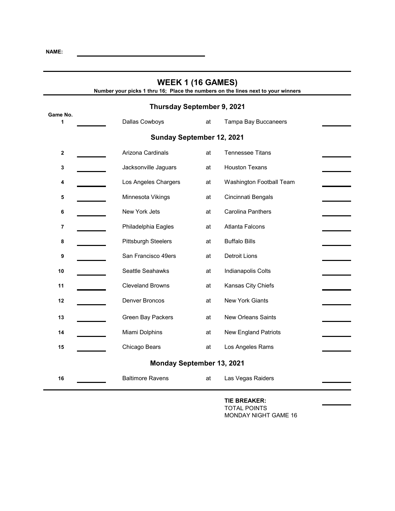| <b>WEEK 1 (16 GAMES)</b><br>Number your picks 1 thru 16; Place the numbers on the lines next to your winners |                                  |    |                             |  |
|--------------------------------------------------------------------------------------------------------------|----------------------------------|----|-----------------------------|--|
|                                                                                                              | Thursday September 9, 2021       |    |                             |  |
| Game No.<br>1                                                                                                | Dallas Cowboys                   | at | Tampa Bay Buccaneers        |  |
|                                                                                                              | Sunday September 12, 2021        |    |                             |  |
| $\boldsymbol{2}$                                                                                             | Arizona Cardinals                | at | <b>Tennessee Titans</b>     |  |
| 3                                                                                                            | Jacksonville Jaguars             | at | <b>Houston Texans</b>       |  |
| 4                                                                                                            | Los Angeles Chargers             | at | Washington Football Team    |  |
| 5                                                                                                            | Minnesota Vikings                | at | Cincinnati Bengals          |  |
| 6                                                                                                            | New York Jets                    | at | <b>Carolina Panthers</b>    |  |
| 7                                                                                                            | Philadelphia Eagles              | at | Atlanta Falcons             |  |
| 8                                                                                                            | <b>Pittsburgh Steelers</b>       | at | <b>Buffalo Bills</b>        |  |
| 9                                                                                                            | San Francisco 49ers              | at | Detroit Lions               |  |
| 10                                                                                                           | Seattle Seahawks                 | at | Indianapolis Colts          |  |
| 11                                                                                                           | <b>Cleveland Browns</b>          | at | Kansas City Chiefs          |  |
| 12                                                                                                           | Denver Broncos                   | at | <b>New York Giants</b>      |  |
| 13                                                                                                           | Green Bay Packers                | at | <b>New Orleans Saints</b>   |  |
| 14                                                                                                           | Miami Dolphins                   | at | <b>New England Patriots</b> |  |
| 15                                                                                                           | Chicago Bears                    | at | Los Angeles Rams            |  |
|                                                                                                              | <b>Monday September 13, 2021</b> |    |                             |  |
| 16                                                                                                           | <b>Baltimore Ravens</b>          | at | Las Vegas Raiders           |  |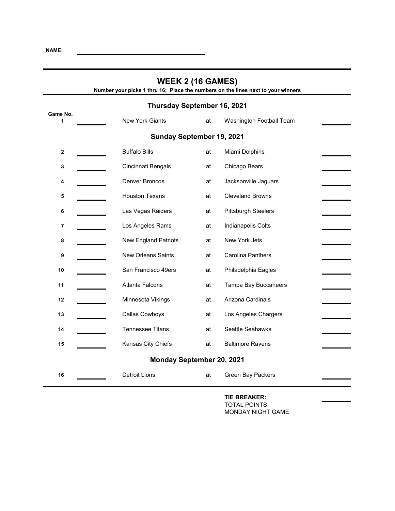| <b>WEEK 2 (16 GAMES)</b><br>Number your picks 1 thru 16; Place the numbers on the lines next to your winners |                             |    |                          |
|--------------------------------------------------------------------------------------------------------------|-----------------------------|----|--------------------------|
|                                                                                                              | Thursday September 16, 2021 |    |                          |
| Game No.<br>1                                                                                                | <b>New York Giants</b>      | at | Washington Football Team |
|                                                                                                              | Sunday September 19, 2021   |    |                          |
| $\mathbf 2$                                                                                                  | <b>Buffalo Bills</b>        | at | Miami Dolphins           |
| 3                                                                                                            | Cincinnati Bengals          | at | Chicago Bears            |
| 4                                                                                                            | Denver Broncos              | at | Jacksonville Jaguars     |
| 5                                                                                                            | <b>Houston Texans</b>       | at | <b>Cleveland Browns</b>  |
| 6                                                                                                            | Las Vegas Raiders           | at | Pittsburgh Steelers      |
| 7                                                                                                            | Los Angeles Rams            | at | Indianapolis Colts       |
| 8                                                                                                            | <b>New England Patriots</b> | at | New York Jets            |
| 9                                                                                                            | New Orleans Saints          | at | <b>Carolina Panthers</b> |
| 10                                                                                                           | San Francisco 49ers         | at | Philadelphia Eagles      |
| 11                                                                                                           | <b>Atlanta Falcons</b>      | at | Tampa Bay Buccaneers     |
| 12                                                                                                           | Minnesota Vikings           | at | Arizona Cardinals        |
| 13                                                                                                           | Dallas Cowboys              | at | Los Angeles Chargers     |
| 14                                                                                                           | <b>Tennessee Titans</b>     | at | Seattle Seahawks         |
| 15                                                                                                           | Kansas City Chiefs          | at | <b>Baltimore Ravens</b>  |
|                                                                                                              | Monday September 20, 2021   |    |                          |
| 16                                                                                                           | <b>Detroit Lions</b>        | at | Green Bay Packers        |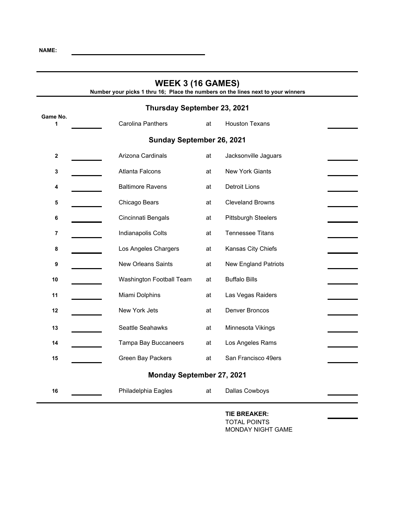| <b>WEEK 3 (16 GAMES)</b><br>Number your picks 1 thru 16; Place the numbers on the lines next to your winners |                             |    |                             |  |  |
|--------------------------------------------------------------------------------------------------------------|-----------------------------|----|-----------------------------|--|--|
|                                                                                                              | Thursday September 23, 2021 |    |                             |  |  |
| Game No.<br>1                                                                                                | <b>Carolina Panthers</b>    | at | <b>Houston Texans</b>       |  |  |
|                                                                                                              | Sunday September 26, 2021   |    |                             |  |  |
| $\mathbf 2$                                                                                                  | Arizona Cardinals           | at | Jacksonville Jaguars        |  |  |
| 3                                                                                                            | <b>Atlanta Falcons</b>      | at | <b>New York Giants</b>      |  |  |
| 4                                                                                                            | <b>Baltimore Ravens</b>     | at | <b>Detroit Lions</b>        |  |  |
| 5                                                                                                            | Chicago Bears               | at | <b>Cleveland Browns</b>     |  |  |
| 6                                                                                                            | Cincinnati Bengals          | at | <b>Pittsburgh Steelers</b>  |  |  |
| 7                                                                                                            | Indianapolis Colts          | at | <b>Tennessee Titans</b>     |  |  |
| 8                                                                                                            | Los Angeles Chargers        | at | Kansas City Chiefs          |  |  |
| 9                                                                                                            | <b>New Orleans Saints</b>   | at | <b>New England Patriots</b> |  |  |
| 10                                                                                                           | Washington Football Team    | at | <b>Buffalo Bills</b>        |  |  |
| 11                                                                                                           | Miami Dolphins              | at | Las Vegas Raiders           |  |  |
| 12                                                                                                           | New York Jets               | at | Denver Broncos              |  |  |
| 13                                                                                                           | Seattle Seahawks            | at | Minnesota Vikings           |  |  |
| 14                                                                                                           | Tampa Bay Buccaneers        | at | Los Angeles Rams            |  |  |
| 15                                                                                                           | Green Bay Packers           | at | San Francisco 49ers         |  |  |
|                                                                                                              | Monday September 27, 2021   |    |                             |  |  |
| 16                                                                                                           | Philadelphia Eagles         | at | Dallas Cowboys              |  |  |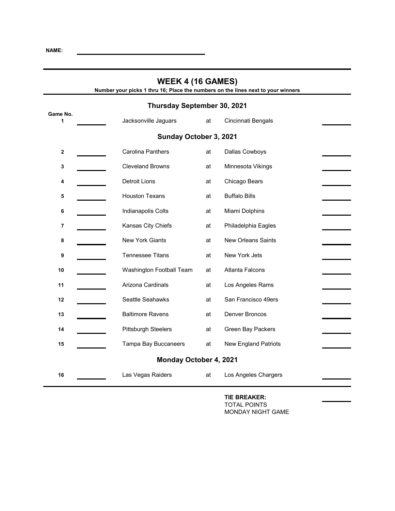| <b>WEEK 4 (16 GAMES)</b><br>Number your picks 1 thru 16; Place the numbers on the lines next to your winners |                             |    |                             |
|--------------------------------------------------------------------------------------------------------------|-----------------------------|----|-----------------------------|
|                                                                                                              | Thursday September 30, 2021 |    |                             |
| Game No.<br>1                                                                                                | Jacksonville Jaguars        | at | Cincinnati Bengals          |
|                                                                                                              | Sunday October 3, 2021      |    |                             |
| $\mathbf 2$                                                                                                  | <b>Carolina Panthers</b>    | at | Dallas Cowboys              |
| 3                                                                                                            | <b>Cleveland Browns</b>     | at | Minnesota Vikings           |
| 4                                                                                                            | <b>Detroit Lions</b>        | at | Chicago Bears               |
| 5                                                                                                            | <b>Houston Texans</b>       | at | <b>Buffalo Bills</b>        |
| 6                                                                                                            | Indianapolis Colts          | at | Miami Dolphins              |
| 7                                                                                                            | Kansas City Chiefs          | at | Philadelphia Eagles         |
| 8                                                                                                            | New York Giants             | at | <b>New Orleans Saints</b>   |
| 9                                                                                                            | <b>Tennessee Titans</b>     | at | New York Jets               |
| 10                                                                                                           | Washington Football Team    | at | <b>Atlanta Falcons</b>      |
| 11                                                                                                           | Arizona Cardinals           | at | Los Angeles Rams            |
| 12                                                                                                           | Seattle Seahawks            | at | San Francisco 49ers         |
| 13                                                                                                           | <b>Baltimore Ravens</b>     | at | <b>Denver Broncos</b>       |
| 14                                                                                                           | <b>Pittsburgh Steelers</b>  | at | Green Bay Packers           |
| 15                                                                                                           | Tampa Bay Buccaneers        | at | <b>New England Patriots</b> |
|                                                                                                              | Monday October 4, 2021      |    |                             |
| 16                                                                                                           | Las Vegas Raiders           | at | Los Angeles Chargers        |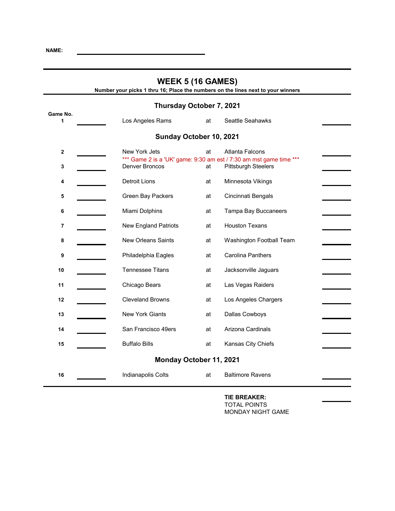| <b>WEEK 5 (16 GAMES)</b><br>Number your picks 1 thru 16; Place the numbers on the lines next to your winners |  |                                                                                      |    |                            |
|--------------------------------------------------------------------------------------------------------------|--|--------------------------------------------------------------------------------------|----|----------------------------|
|                                                                                                              |  | Thursday October 7, 2021                                                             |    |                            |
| Game No.<br>1                                                                                                |  | Los Angeles Rams                                                                     | at | Seattle Seahawks           |
|                                                                                                              |  | Sunday October 10, 2021                                                              |    |                            |
| 2                                                                                                            |  | New York Jets                                                                        | at | Atlanta Falcons            |
| 3                                                                                                            |  | *** Game 2 is a 'UK' game: 9:30 am est / 7:30 am mst game time ***<br>Denver Broncos | at | <b>Pittsburgh Steelers</b> |
| 4                                                                                                            |  | <b>Detroit Lions</b>                                                                 | at | Minnesota Vikings          |
| 5                                                                                                            |  | <b>Green Bay Packers</b>                                                             | at | Cincinnati Bengals         |
| 6                                                                                                            |  | Miami Dolphins                                                                       | at | Tampa Bay Buccaneers       |
| 7                                                                                                            |  | <b>New England Patriots</b>                                                          | at | <b>Houston Texans</b>      |
| 8                                                                                                            |  | <b>New Orleans Saints</b>                                                            | at | Washington Football Team   |
| 9                                                                                                            |  | Philadelphia Eagles                                                                  | at | <b>Carolina Panthers</b>   |
| 10                                                                                                           |  | <b>Tennessee Titans</b>                                                              | at | Jacksonville Jaguars       |
| 11                                                                                                           |  | Chicago Bears                                                                        | at | Las Vegas Raiders          |
| 12                                                                                                           |  | <b>Cleveland Browns</b>                                                              | at | Los Angeles Chargers       |
| 13                                                                                                           |  | <b>New York Giants</b>                                                               | at | Dallas Cowboys             |
| 14                                                                                                           |  | San Francisco 49ers                                                                  | at | Arizona Cardinals          |
| 15                                                                                                           |  | <b>Buffalo Bills</b>                                                                 | at | Kansas City Chiefs         |
|                                                                                                              |  | Monday October 11, 2021                                                              |    |                            |
| 16                                                                                                           |  | Indianapolis Colts                                                                   | at | <b>Baltimore Ravens</b>    |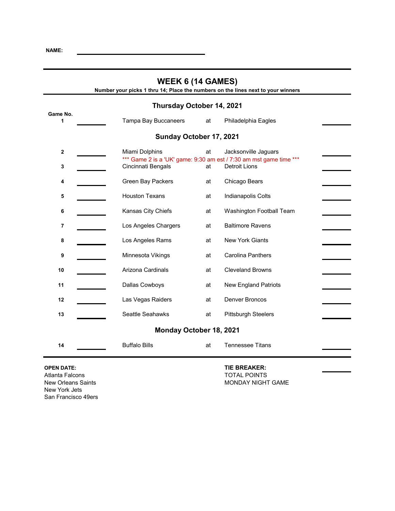| <b>WEEK 6 (14 GAMES)</b><br>Number your picks 1 thru 14; Place the numbers on the lines next to your winners |                         |    |                                                                                            |
|--------------------------------------------------------------------------------------------------------------|-------------------------|----|--------------------------------------------------------------------------------------------|
| Thursday October 14, 2021                                                                                    |                         |    |                                                                                            |
| Game No.<br>1                                                                                                | Tampa Bay Buccaneers    | at | Philadelphia Eagles                                                                        |
|                                                                                                              | Sunday October 17, 2021 |    |                                                                                            |
| $\mathbf{2}$                                                                                                 | Miami Dolphins          | at | Jacksonville Jaguars                                                                       |
| 3                                                                                                            | Cincinnati Bengals      | at | *** Game 2 is a 'UK' game: 9:30 am est / 7:30 am mst game time ***<br><b>Detroit Lions</b> |
| 4                                                                                                            | Green Bay Packers       | at | Chicago Bears                                                                              |
| 5                                                                                                            | <b>Houston Texans</b>   | at | Indianapolis Colts                                                                         |
| 6                                                                                                            | Kansas City Chiefs      | at | Washington Football Team                                                                   |
| $\overline{7}$                                                                                               | Los Angeles Chargers    | at | <b>Baltimore Ravens</b>                                                                    |
| 8                                                                                                            | Los Angeles Rams        | at | <b>New York Giants</b>                                                                     |
| 9                                                                                                            | Minnesota Vikings       | at | <b>Carolina Panthers</b>                                                                   |
| 10                                                                                                           | Arizona Cardinals       | at | <b>Cleveland Browns</b>                                                                    |
| 11                                                                                                           | Dallas Cowboys          | at | <b>New England Patriots</b>                                                                |
| 12                                                                                                           | Las Vegas Raiders       | at | <b>Denver Broncos</b>                                                                      |
| 13                                                                                                           | Seattle Seahawks        | at | <b>Pittsburgh Steelers</b>                                                                 |
|                                                                                                              | Monday October 18, 2021 |    |                                                                                            |
| 14                                                                                                           | <b>Buffalo Bills</b>    | at | <b>Tennessee Titans</b>                                                                    |

Atlanta Falcons<br>
New Orleans Saints<br>
New Orleans Saints<br>
TOTAL POINTS New York Jets San Francisco 49ers

### **OPEN DATE: TIE BREAKER:**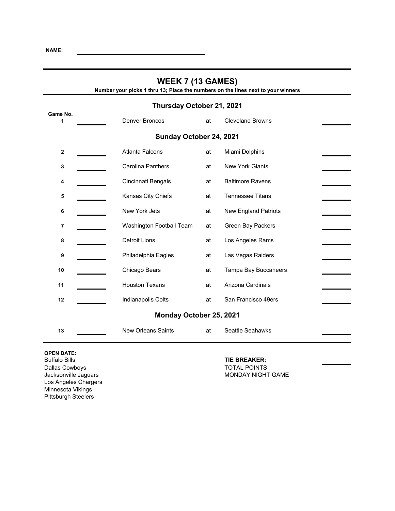| <b>WEEK 7 (13 GAMES)</b><br>Number your picks 1 thru 13; Place the numbers on the lines next to your winners |                           |    |                             |  |
|--------------------------------------------------------------------------------------------------------------|---------------------------|----|-----------------------------|--|
|                                                                                                              | Thursday October 21, 2021 |    |                             |  |
| Game No.<br>1                                                                                                | <b>Denver Broncos</b>     | at | <b>Cleveland Browns</b>     |  |
|                                                                                                              | Sunday October 24, 2021   |    |                             |  |
| $\boldsymbol{2}$                                                                                             | <b>Atlanta Falcons</b>    | at | Miami Dolphins              |  |
| 3                                                                                                            | <b>Carolina Panthers</b>  | at | <b>New York Giants</b>      |  |
| 4                                                                                                            | Cincinnati Bengals        | at | <b>Baltimore Ravens</b>     |  |
| 5                                                                                                            | Kansas City Chiefs        | at | <b>Tennessee Titans</b>     |  |
| 6                                                                                                            | New York Jets             | at | <b>New England Patriots</b> |  |
| 7                                                                                                            | Washington Football Team  | at | Green Bay Packers           |  |
| 8                                                                                                            | <b>Detroit Lions</b>      | at | Los Angeles Rams            |  |
| 9                                                                                                            | Philadelphia Eagles       | at | Las Vegas Raiders           |  |
| 10                                                                                                           | Chicago Bears             | at | Tampa Bay Buccaneers        |  |
| 11                                                                                                           | <b>Houston Texans</b>     | at | Arizona Cardinals           |  |
| 12                                                                                                           | Indianapolis Colts        | at | San Francisco 49ers         |  |
|                                                                                                              | Monday October 25, 2021   |    |                             |  |
| 13                                                                                                           | <b>New Orleans Saints</b> | at | Seattle Seahawks            |  |

**OPEN DATE:** Dallas Cowboys<br>
Jacksonville Jaguars<br>
Jacksonville Jaguars<br>
TOTAL POINTS Los Angeles Chargers Minnesota Vikings Pittsburgh Steelers

# **TIE BREAKER:**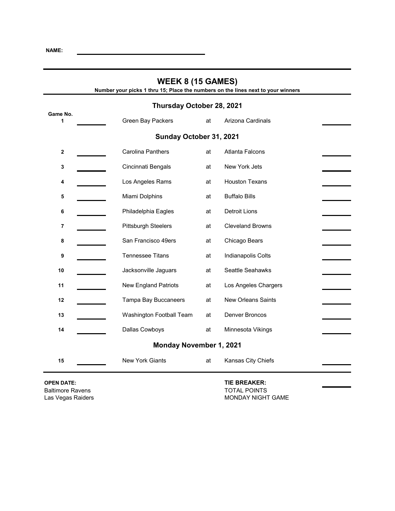| <b>WEEK 8 (15 GAMES)</b><br>Number your picks 1 thru 15; Place the numbers on the lines next to your winners |                                |    |                           |  |
|--------------------------------------------------------------------------------------------------------------|--------------------------------|----|---------------------------|--|
|                                                                                                              | Thursday October 28, 2021      |    |                           |  |
| Game No.<br>1                                                                                                | Green Bay Packers              | at | Arizona Cardinals         |  |
|                                                                                                              | Sunday October 31, 2021        |    |                           |  |
| $\mathbf 2$                                                                                                  | <b>Carolina Panthers</b>       | at | <b>Atlanta Falcons</b>    |  |
| 3                                                                                                            | Cincinnati Bengals             | at | New York Jets             |  |
| 4                                                                                                            | Los Angeles Rams               | at | <b>Houston Texans</b>     |  |
| 5                                                                                                            | Miami Dolphins                 | at | <b>Buffalo Bills</b>      |  |
| 6                                                                                                            | Philadelphia Eagles            | at | <b>Detroit Lions</b>      |  |
| 7                                                                                                            | <b>Pittsburgh Steelers</b>     | at | <b>Cleveland Browns</b>   |  |
| 8                                                                                                            | San Francisco 49ers            | at | Chicago Bears             |  |
| 9                                                                                                            | <b>Tennessee Titans</b>        | at | Indianapolis Colts        |  |
| 10                                                                                                           | Jacksonville Jaguars           | at | Seattle Seahawks          |  |
| 11                                                                                                           | <b>New England Patriots</b>    | at | Los Angeles Chargers      |  |
| 12                                                                                                           | Tampa Bay Buccaneers           | at | <b>New Orleans Saints</b> |  |
| 13                                                                                                           | Washington Football Team       | at | Denver Broncos            |  |
| 14                                                                                                           | Dallas Cowboys                 | at | Minnesota Vikings         |  |
|                                                                                                              | <b>Monday November 1, 2021</b> |    |                           |  |
| 15                                                                                                           | <b>New York Giants</b>         | at | Kansas City Chiefs        |  |

**OPEN DATE: TIE BREAKER:** Baltimore Ravens TOTAL POINTS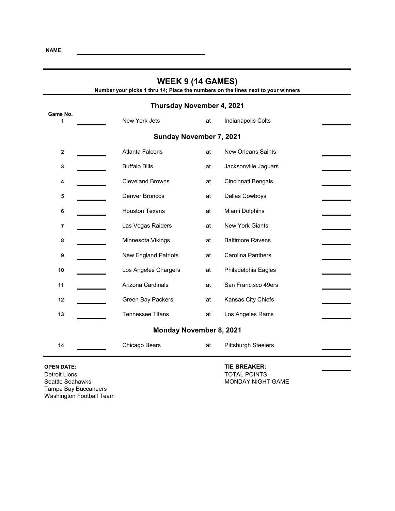| <b>WEEK 9 (14 GAMES)</b><br>Number your picks 1 thru 14; Place the numbers on the lines next to your winners |                                |    |                            |
|--------------------------------------------------------------------------------------------------------------|--------------------------------|----|----------------------------|
|                                                                                                              | Thursday November 4, 2021      |    |                            |
| Game No.<br>1                                                                                                | New York Jets                  | at | Indianapolis Colts         |
|                                                                                                              | Sunday November 7, 2021        |    |                            |
| $\mathbf{2}$                                                                                                 | <b>Atlanta Falcons</b>         | at | <b>New Orleans Saints</b>  |
| 3                                                                                                            | <b>Buffalo Bills</b>           | at | Jacksonville Jaguars       |
| 4                                                                                                            | <b>Cleveland Browns</b>        | at | Cincinnati Bengals         |
| 5                                                                                                            | <b>Denver Broncos</b>          | at | Dallas Cowboys             |
| 6                                                                                                            | <b>Houston Texans</b>          | at | Miami Dolphins             |
| 7                                                                                                            | Las Vegas Raiders              | at | <b>New York Giants</b>     |
| 8                                                                                                            | Minnesota Vikings              | at | <b>Baltimore Ravens</b>    |
| 9                                                                                                            | <b>New England Patriots</b>    | at | <b>Carolina Panthers</b>   |
| 10                                                                                                           | Los Angeles Chargers           | at | Philadelphia Eagles        |
| 11                                                                                                           | Arizona Cardinals              | at | San Francisco 49ers        |
| 12                                                                                                           | Green Bay Packers              | at | Kansas City Chiefs         |
| 13                                                                                                           | <b>Tennessee Titans</b>        | at | Los Angeles Rams           |
|                                                                                                              | <b>Monday November 8, 2021</b> |    |                            |
| 14                                                                                                           | Chicago Bears                  | at | <b>Pittsburgh Steelers</b> |

**OPEN DATE: COPEN DATE: TIE BREAKER: TIE BREAKER: TOTAL POINTS** Detroit Lions<br>
Seattle Seahawks<br>
Seattle Seahawks<br>
Contact Lions<br>
MONDAY NIGHT Tampa Bay Buccaneers Washington Football Team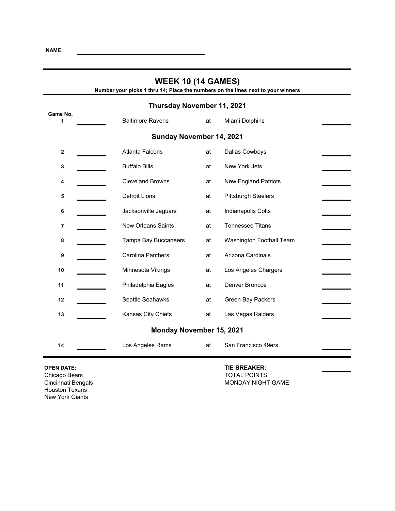| <b>WEEK 10 (14 GAMES)</b><br>Number your picks 1 thru 14; Place the numbers on the lines next to your winners |                           |    |                             |  |
|---------------------------------------------------------------------------------------------------------------|---------------------------|----|-----------------------------|--|
| Thursday November 11, 2021                                                                                    |                           |    |                             |  |
| Game No.<br>1                                                                                                 | <b>Baltimore Ravens</b>   | at | Miami Dolphins              |  |
|                                                                                                               | Sunday November 14, 2021  |    |                             |  |
| $\mathbf{2}$                                                                                                  | <b>Atlanta Falcons</b>    | at | Dallas Cowboys              |  |
| 3                                                                                                             | <b>Buffalo Bills</b>      | at | New York Jets               |  |
| 4                                                                                                             | <b>Cleveland Browns</b>   | at | <b>New England Patriots</b> |  |
| 5                                                                                                             | <b>Detroit Lions</b>      | at | <b>Pittsburgh Steelers</b>  |  |
| 6                                                                                                             | Jacksonville Jaguars      | at | Indianapolis Colts          |  |
| 7                                                                                                             | <b>New Orleans Saints</b> | at | <b>Tennessee Titans</b>     |  |
| 8                                                                                                             | Tampa Bay Buccaneers      | at | Washington Football Team    |  |
| 9                                                                                                             | <b>Carolina Panthers</b>  | at | Arizona Cardinals           |  |
| 10                                                                                                            | Minnesota Vikings         | at | Los Angeles Chargers        |  |
| 11                                                                                                            | Philadelphia Eagles       | at | <b>Denver Broncos</b>       |  |
| 12                                                                                                            | Seattle Seahawks          | at | Green Bay Packers           |  |
| 13                                                                                                            | Kansas City Chiefs        | at | Las Vegas Raiders           |  |
|                                                                                                               | Monday November 15, 2021  |    |                             |  |
| 14                                                                                                            | Los Angeles Rams          | at | San Francisco 49ers         |  |

Houston Texans New York Giants

### **OPEN DATE: TIE BREAKER:**

Chicago Bears TOTAL POINTS MONDAY NIGHT GAME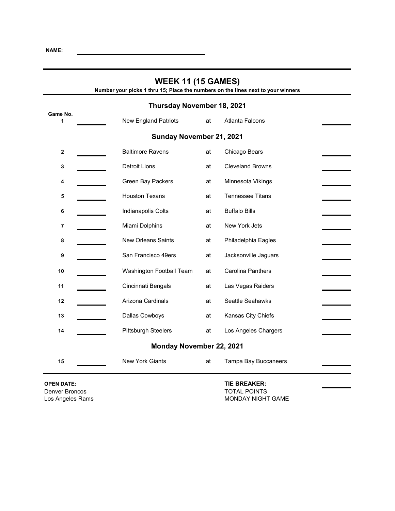| <b>WEEK 11 (15 GAMES)</b><br>Number your picks 1 thru 15; Place the numbers on the lines next to your winners |                             |                                |                          |  |
|---------------------------------------------------------------------------------------------------------------|-----------------------------|--------------------------------|--------------------------|--|
| Thursday November 18, 2021                                                                                    |                             |                                |                          |  |
| Game No.<br>1                                                                                                 | <b>New England Patriots</b> | at                             | <b>Atlanta Falcons</b>   |  |
|                                                                                                               |                             | Sunday November 21, 2021       |                          |  |
| $\boldsymbol{2}$                                                                                              | <b>Baltimore Ravens</b>     | at                             | Chicago Bears            |  |
| 3                                                                                                             | <b>Detroit Lions</b>        | at                             | <b>Cleveland Browns</b>  |  |
| 4                                                                                                             | Green Bay Packers           | at                             | Minnesota Vikings        |  |
| 5                                                                                                             | <b>Houston Texans</b>       | at                             | <b>Tennessee Titans</b>  |  |
| 6                                                                                                             | Indianapolis Colts          | at                             | <b>Buffalo Bills</b>     |  |
| 7                                                                                                             | Miami Dolphins              | at                             | New York Jets            |  |
| 8                                                                                                             | <b>New Orleans Saints</b>   | at                             | Philadelphia Eagles      |  |
| 9                                                                                                             | San Francisco 49ers         | at                             | Jacksonville Jaguars     |  |
| 10                                                                                                            |                             | Washington Football Team<br>at | <b>Carolina Panthers</b> |  |
| 11                                                                                                            | Cincinnati Bengals          | at                             | Las Vegas Raiders        |  |
| 12                                                                                                            | Arizona Cardinals           | at                             | Seattle Seahawks         |  |
| 13                                                                                                            | Dallas Cowboys              | at                             | Kansas City Chiefs       |  |
| 14                                                                                                            | <b>Pittsburgh Steelers</b>  | at                             | Los Angeles Chargers     |  |
| Monday November 22, 2021                                                                                      |                             |                                |                          |  |
| 15                                                                                                            | <b>New York Giants</b>      | at                             | Tampa Bay Buccaneers     |  |

**OPEN DATE: TIE BREAKER:** Denver Broncos<br>Los Angeles Rams

MONDAY NIGHT GAME

ř.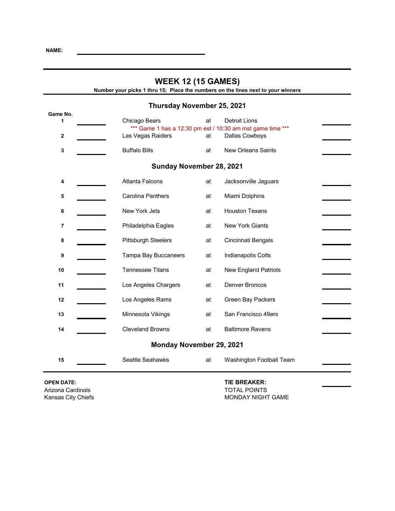| <b>WEEK 12 (15 GAMES)</b><br>Number your picks 1 thru 15; Place the numbers on the lines next to your winners |                                                                             |    |                             |  |  |
|---------------------------------------------------------------------------------------------------------------|-----------------------------------------------------------------------------|----|-----------------------------|--|--|
|                                                                                                               | Thursday November 25, 2021                                                  |    |                             |  |  |
| Game No.<br>1                                                                                                 | Chicago Bears<br>*** Game 1 has a 12:30 pm est / 10:30 am mst game time *** | at | <b>Detroit Lions</b>        |  |  |
| $\mathbf 2$                                                                                                   | Las Vegas Raiders                                                           | at | Dallas Cowboys              |  |  |
| $\mathbf 3$                                                                                                   | <b>Buffalo Bills</b>                                                        | at | <b>New Orleans Saints</b>   |  |  |
| Sunday November 28, 2021                                                                                      |                                                                             |    |                             |  |  |
| 4                                                                                                             | <b>Atlanta Falcons</b>                                                      | at | Jacksonville Jaguars        |  |  |
| 5                                                                                                             | Carolina Panthers                                                           | at | Miami Dolphins              |  |  |
| 6                                                                                                             | New York Jets                                                               | at | <b>Houston Texans</b>       |  |  |
| 7                                                                                                             | Philadelphia Eagles                                                         | at | <b>New York Giants</b>      |  |  |
| 8                                                                                                             | <b>Pittsburgh Steelers</b>                                                  | at | Cincinnati Bengals          |  |  |
| 9                                                                                                             | Tampa Bay Buccaneers                                                        | at | Indianapolis Colts          |  |  |
| 10                                                                                                            | <b>Tennessee Titans</b>                                                     | at | <b>New England Patriots</b> |  |  |
| 11                                                                                                            | Los Angeles Chargers                                                        | at | <b>Denver Broncos</b>       |  |  |
| 12                                                                                                            | Los Angeles Rams                                                            | at | Green Bay Packers           |  |  |
| 13                                                                                                            | Minnesota Vikings                                                           | at | San Francisco 49ers         |  |  |
| <b>Cleveland Browns</b><br><b>Baltimore Ravens</b><br>at<br>14                                                |                                                                             |    |                             |  |  |
| Monday November 29, 2021                                                                                      |                                                                             |    |                             |  |  |
| 15                                                                                                            | Seattle Seahawks                                                            | at | Washington Football Team    |  |  |

**OPEN DATE: TIE BREAKER:** Arizona Cardinals<br>
Kansas City Chiefs<br>
Contact Line of the Contact MONDAY NIGHT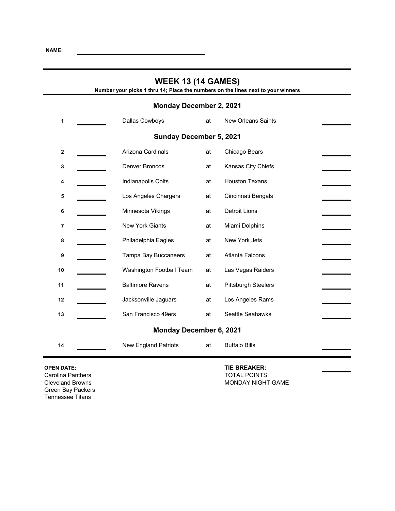| <b>WEEK 13 (14 GAMES)</b><br>Number your picks 1 thru 14; Place the numbers on the lines next to your winners |                                |    |                            |  |  |
|---------------------------------------------------------------------------------------------------------------|--------------------------------|----|----------------------------|--|--|
| <b>Monday December 2, 2021</b>                                                                                |                                |    |                            |  |  |
| 1                                                                                                             | Dallas Cowboys                 | at | <b>New Orleans Saints</b>  |  |  |
|                                                                                                               | <b>Sunday December 5, 2021</b> |    |                            |  |  |
| $\boldsymbol{2}$                                                                                              | Arizona Cardinals              | at | Chicago Bears              |  |  |
| 3                                                                                                             | Denver Broncos                 | at | Kansas City Chiefs         |  |  |
| 4                                                                                                             | Indianapolis Colts             | at | <b>Houston Texans</b>      |  |  |
| 5                                                                                                             | Los Angeles Chargers           | at | Cincinnati Bengals         |  |  |
| 6                                                                                                             | Minnesota Vikings              | at | <b>Detroit Lions</b>       |  |  |
| 7                                                                                                             | <b>New York Giants</b>         | at | Miami Dolphins             |  |  |
| 8                                                                                                             | Philadelphia Eagles            | at | New York Jets              |  |  |
| 9                                                                                                             | Tampa Bay Buccaneers           | at | <b>Atlanta Falcons</b>     |  |  |
| 10                                                                                                            | Washington Football Team       | at | Las Vegas Raiders          |  |  |
| 11                                                                                                            | <b>Baltimore Ravens</b>        | at | <b>Pittsburgh Steelers</b> |  |  |
| 12                                                                                                            | Jacksonville Jaguars           | at | Los Angeles Rams           |  |  |
| 13                                                                                                            | San Francisco 49ers            | at | Seattle Seahawks           |  |  |
| <b>Monday December 6, 2021</b>                                                                                |                                |    |                            |  |  |
| 14                                                                                                            | <b>New England Patriots</b>    | at | <b>Buffalo Bills</b>       |  |  |

Carolina Panthers **Carolina Panthers** Cleveland Browns **Cleveland Browns** Green Bay Packers Tennessee Titans

### **OPEN DATE: TIE BREAKER:**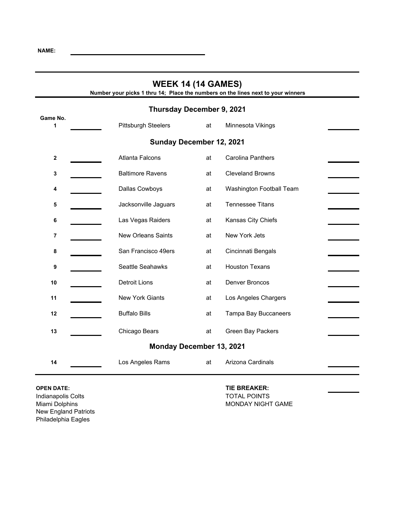| <b>WEEK 14 (14 GAMES)</b><br>Number your picks 1 thru 14; Place the numbers on the lines next to your winners |                            |    |                          |  |  |  |
|---------------------------------------------------------------------------------------------------------------|----------------------------|----|--------------------------|--|--|--|
| <b>Thursday December 9, 2021</b>                                                                              |                            |    |                          |  |  |  |
| Game No.<br>1                                                                                                 | <b>Pittsburgh Steelers</b> | at | Minnesota Vikings        |  |  |  |
| Sunday December 12, 2021                                                                                      |                            |    |                          |  |  |  |
| $\mathbf 2$                                                                                                   | <b>Atlanta Falcons</b>     | at | <b>Carolina Panthers</b> |  |  |  |
| 3                                                                                                             | <b>Baltimore Ravens</b>    | at | <b>Cleveland Browns</b>  |  |  |  |
| 4                                                                                                             | Dallas Cowboys             | at | Washington Football Team |  |  |  |
| 5                                                                                                             | Jacksonville Jaguars       | at | <b>Tennessee Titans</b>  |  |  |  |
| 6                                                                                                             | Las Vegas Raiders          | at | Kansas City Chiefs       |  |  |  |
| 7                                                                                                             | <b>New Orleans Saints</b>  | at | New York Jets            |  |  |  |
| 8                                                                                                             | San Francisco 49ers        | at | Cincinnati Bengals       |  |  |  |
| 9                                                                                                             | Seattle Seahawks           | at | <b>Houston Texans</b>    |  |  |  |
| 10                                                                                                            | <b>Detroit Lions</b>       | at | <b>Denver Broncos</b>    |  |  |  |
| 11                                                                                                            | New York Giants            | at | Los Angeles Chargers     |  |  |  |
| 12                                                                                                            | <b>Buffalo Bills</b>       | at | Tampa Bay Buccaneers     |  |  |  |
| 13                                                                                                            | Chicago Bears              | at | Green Bay Packers        |  |  |  |
| <b>Monday December 13, 2021</b>                                                                               |                            |    |                          |  |  |  |
| 14                                                                                                            | Los Angeles Rams           | at | Arizona Cardinals        |  |  |  |

Indianapolis Colts **TOTAL POINTS** New England Patriots Philadelphia Eagles

**OPEN DATE: TIE BREAKER:** Miami Dolphins MONDAY NIGHT GAME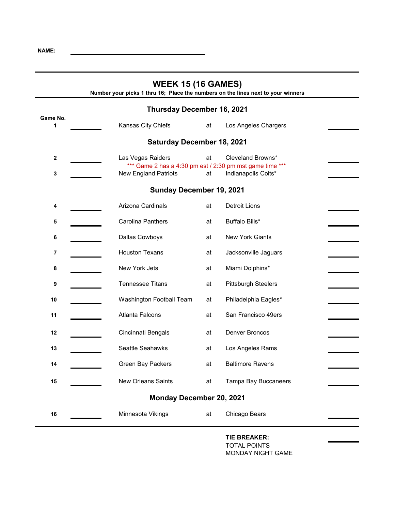| <b>WEEK 15 (16 GAMES)</b><br>Number your picks 1 thru 16; Place the numbers on the lines next to your winners |                                                                                         |    |                            |  |  |
|---------------------------------------------------------------------------------------------------------------|-----------------------------------------------------------------------------------------|----|----------------------------|--|--|
|                                                                                                               | <b>Thursday December 16, 2021</b>                                                       |    |                            |  |  |
| Game No.<br>1                                                                                                 | Kansas City Chiefs                                                                      | at | Los Angeles Chargers       |  |  |
| <b>Saturday December 18, 2021</b>                                                                             |                                                                                         |    |                            |  |  |
| $\mathbf 2$                                                                                                   | Las Vegas Raiders                                                                       | at | Cleveland Browns*          |  |  |
| 3                                                                                                             | *** Game 2 has a 4:30 pm est / 2:30 pm mst game time ***<br><b>New England Patriots</b> | at | Indianapolis Colts*        |  |  |
|                                                                                                               | Sunday December 19, 2021                                                                |    |                            |  |  |
| 4                                                                                                             | Arizona Cardinals                                                                       | at | <b>Detroit Lions</b>       |  |  |
| 5                                                                                                             | <b>Carolina Panthers</b>                                                                | at | Buffalo Bills*             |  |  |
| 6                                                                                                             | Dallas Cowboys                                                                          | at | <b>New York Giants</b>     |  |  |
| 7                                                                                                             | <b>Houston Texans</b>                                                                   | at | Jacksonville Jaguars       |  |  |
| 8                                                                                                             | New York Jets                                                                           | at | Miami Dolphins*            |  |  |
| 9                                                                                                             | <b>Tennessee Titans</b>                                                                 | at | <b>Pittsburgh Steelers</b> |  |  |
| 10                                                                                                            | Washington Football Team                                                                | at | Philadelphia Eagles*       |  |  |
| 11                                                                                                            | <b>Atlanta Falcons</b>                                                                  | at | San Francisco 49ers        |  |  |
| 12                                                                                                            | Cincinnati Bengals                                                                      | at | Denver Broncos             |  |  |
| 13                                                                                                            | Seattle Seahawks                                                                        | at | Los Angeles Rams           |  |  |
| 14                                                                                                            | Green Bay Packers                                                                       | at | <b>Baltimore Ravens</b>    |  |  |
| 15                                                                                                            | <b>New Orleans Saints</b>                                                               | at | Tampa Bay Buccaneers       |  |  |
| <b>Monday December 20, 2021</b>                                                                               |                                                                                         |    |                            |  |  |
| 16                                                                                                            | Minnesota Vikings                                                                       | at | Chicago Bears              |  |  |
|                                                                                                               |                                                                                         |    |                            |  |  |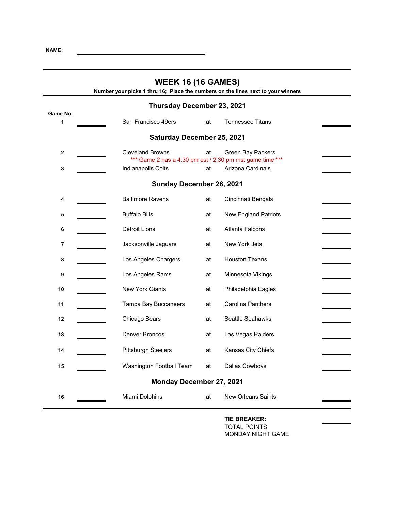| <b>WEEK 16 (16 GAMES)</b><br>Number your picks 1 thru 16; Place the numbers on the lines next to your winners |                                                                                     |    |                             |  |
|---------------------------------------------------------------------------------------------------------------|-------------------------------------------------------------------------------------|----|-----------------------------|--|
|                                                                                                               | Thursday December 23, 2021                                                          |    |                             |  |
| Game No.                                                                                                      |                                                                                     |    |                             |  |
| 1                                                                                                             | San Francisco 49ers                                                                 | at | <b>Tennessee Titans</b>     |  |
|                                                                                                               | <b>Saturday December 25, 2021</b>                                                   |    |                             |  |
| $\boldsymbol{2}$                                                                                              | <b>Cleveland Browns</b><br>*** Game 2 has a 4:30 pm est / 2:30 pm mst game time *** | at | Green Bay Packers           |  |
| 3                                                                                                             | Indianapolis Colts                                                                  | at | Arizona Cardinals           |  |
|                                                                                                               | Sunday December 26, 2021                                                            |    |                             |  |
| 4                                                                                                             | <b>Baltimore Ravens</b>                                                             | at | Cincinnati Bengals          |  |
| 5                                                                                                             | <b>Buffalo Bills</b>                                                                | at | <b>New England Patriots</b> |  |
| 6                                                                                                             | <b>Detroit Lions</b>                                                                | at | <b>Atlanta Falcons</b>      |  |
| 7                                                                                                             | Jacksonville Jaguars                                                                | at | New York Jets               |  |
| 8                                                                                                             | Los Angeles Chargers                                                                | at | <b>Houston Texans</b>       |  |
| 9                                                                                                             | Los Angeles Rams                                                                    | at | Minnesota Vikings           |  |
| 10                                                                                                            | <b>New York Giants</b>                                                              | at | Philadelphia Eagles         |  |
| 11                                                                                                            | Tampa Bay Buccaneers                                                                | at | <b>Carolina Panthers</b>    |  |
| 12                                                                                                            | Chicago Bears                                                                       | at | Seattle Seahawks            |  |
| 13                                                                                                            | Denver Broncos                                                                      | at | Las Vegas Raiders           |  |
| 14                                                                                                            | <b>Pittsburgh Steelers</b>                                                          | at | Kansas City Chiefs          |  |
| 15                                                                                                            | Washington Football Team                                                            | at | Dallas Cowboys              |  |
| Monday December 27, 2021                                                                                      |                                                                                     |    |                             |  |
| 16                                                                                                            | Miami Dolphins                                                                      | at | <b>New Orleans Saints</b>   |  |
|                                                                                                               |                                                                                     |    |                             |  |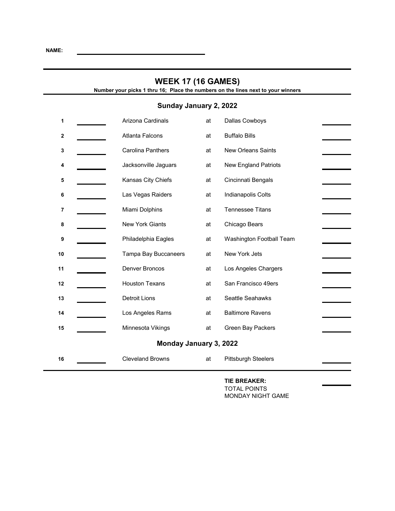| <b>WEEK 17 (16 GAMES)</b><br>Number your picks 1 thru 16; Place the numbers on the lines next to your winners |  |                         |    |                             |  |
|---------------------------------------------------------------------------------------------------------------|--|-------------------------|----|-----------------------------|--|
| Sunday January 2, 2022                                                                                        |  |                         |    |                             |  |
| 1                                                                                                             |  | Arizona Cardinals       | at | Dallas Cowboys              |  |
| 2                                                                                                             |  | <b>Atlanta Falcons</b>  | at | <b>Buffalo Bills</b>        |  |
| 3                                                                                                             |  | Carolina Panthers       | at | <b>New Orleans Saints</b>   |  |
| 4                                                                                                             |  | Jacksonville Jaguars    | at | <b>New England Patriots</b> |  |
| 5                                                                                                             |  | Kansas City Chiefs      | at | Cincinnati Bengals          |  |
| 6                                                                                                             |  | Las Vegas Raiders       | at | Indianapolis Colts          |  |
| 7                                                                                                             |  | Miami Dolphins          | at | <b>Tennessee Titans</b>     |  |
| 8                                                                                                             |  | <b>New York Giants</b>  | at | Chicago Bears               |  |
| 9                                                                                                             |  | Philadelphia Eagles     | at | Washington Football Team    |  |
| 10                                                                                                            |  | Tampa Bay Buccaneers    | at | New York Jets               |  |
| 11                                                                                                            |  | Denver Broncos          | at | Los Angeles Chargers        |  |
| 12                                                                                                            |  | <b>Houston Texans</b>   | at | San Francisco 49ers         |  |
| 13                                                                                                            |  | <b>Detroit Lions</b>    | at | Seattle Seahawks            |  |
| 14                                                                                                            |  | Los Angeles Rams        | at | <b>Baltimore Ravens</b>     |  |
| 15                                                                                                            |  | Minnesota Vikings       | at | Green Bay Packers           |  |
| Monday January 3, 2022                                                                                        |  |                         |    |                             |  |
| 16                                                                                                            |  | <b>Cleveland Browns</b> | at | <b>Pittsburgh Steelers</b>  |  |

**TIE BREAKER:** TOTAL POINTS MONDAY NIGHT GAME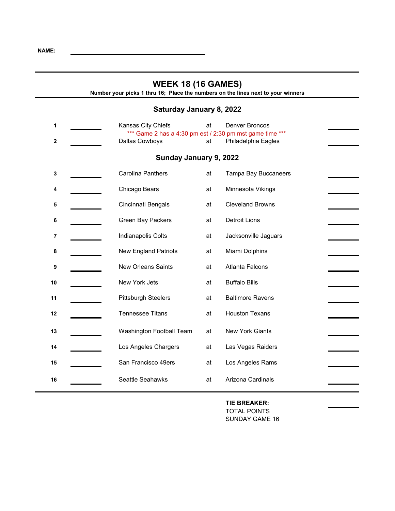## **WEEK 18 (16 GAMES) Number your picks 1 thru 16; Place the numbers on the lines next to your winners Saturday January 8, 2022 1 1 Kansas City Chiefs at** Denver Broncos \*\*\* Game 2 has a 4:30 pm est / 2:30 pm mst game time \*\*\* **2 2** Dallas Cowboys **at** Philadelphia Eagles **Sunday January 9, 2022 3 3** Carolina Panthers **at** Tampa Bay Buccaneers **4 1** Chicago Bears **at** Minnesota Vikings **5 Cincinnati Bengals at Cleveland Browns 6 6 Green Bay Packers at** Detroit Lions **7 1** Indianapolis Colts **and Acksonville Jaguars** 8 New England Patriots at Miami Dolphins **9 1** New Orleans Saints at Atlanta Falcons **10** New York Jets at Buffalo Bills 11 **11** Pittsburgh Steelers at Baltimore Ravens **12** Tennessee Titans at Houston Texans **13** Washington Football Team at New York Giants 14 **14** Los Angeles Chargers at Las Vegas Raiders 15 San Francisco 49ers at Los Angeles Rams 16 **16** Seattle Seahawks **at Arizona Cardinals**

**TIE BREAKER:** TOTAL POINTS SUNDAY GAME 16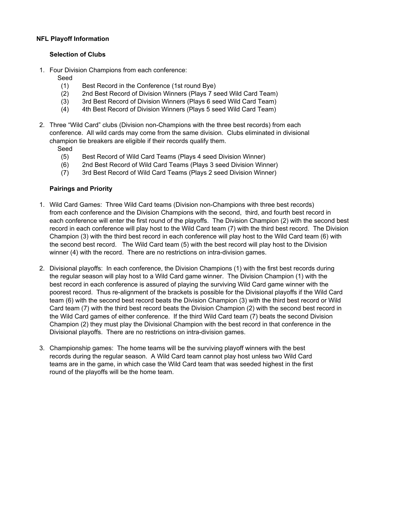### **NFL Playoff Information**

### **Selection of Clubs**

1. Four Division Champions from each conference:

Seed

- (1) Best Record in the Conference (1st round Bye)
- (2) 2nd Best Record of Division Winners (Plays 7 seed Wild Card Team)
- (3) 3rd Best Record of Division Winners (Plays 6 seed Wild Card Team)
- (4) 4th Best Record of Division Winners (Plays 5 seed Wild Card Team)
- 2. Three "Wild Card" clubs (Division non-Champions with the three best records) from each conference. All wild cards may come from the same division. Clubs eliminated in divisional champion tie breakers are eligible if their records qualify them.

Seed

- (5) Best Record of Wild Card Teams (Plays 4 seed Division Winner)
- (6) 2nd Best Record of Wild Card Teams (Plays 3 seed Division Winner)
- (7) 3rd Best Record of Wild Card Teams (Plays 2 seed Division Winner)

### **Pairings and Priority**

- 1. Wild Card Games: Three Wild Card teams (Division non-Champions with three best records) from each conference and the Division Champions with the second, third, and fourth best record in each conference will enter the first round of the playoffs. The Division Champion (2) with the second best record in each conference will play host to the Wild Card team (7) with the third best record. The Division Champion (3) with the third best record in each conference will play host to the Wild Card team (6) with the second best record. The Wild Card team (5) with the best record will play host to the Division winner (4) with the record. There are no restrictions on intra-division games.
- 2. Divisional playoffs: In each conference, the Division Champions (1) with the first best records during the regular season will play host to a Wild Card game winner. The Division Champion (1) with the best record in each conference is assured of playing the surviving Wild Card game winner with the poorest record. Thus re-alignment of the brackets is possible for the Divisional playoffs if the Wild Card team (6) with the second best record beats the Division Champion (3) with the third best record or Wild Card team (7) with the third best record beats the Division Champion (2) with the second best record in the Wild Card games of either conference. If the third Wild Card team (7) beats the second Division Champion (2) they must play the Divisional Champion with the best record in that conference in the Divisional playoffs. There are no restrictions on intra-division games.
- 3. Championship games: The home teams will be the surviving playoff winners with the best records during the regular season. A Wild Card team cannot play host unless two Wild Card teams are in the game, in which case the Wild Card team that was seeded highest in the first round of the playoffs will be the home team.